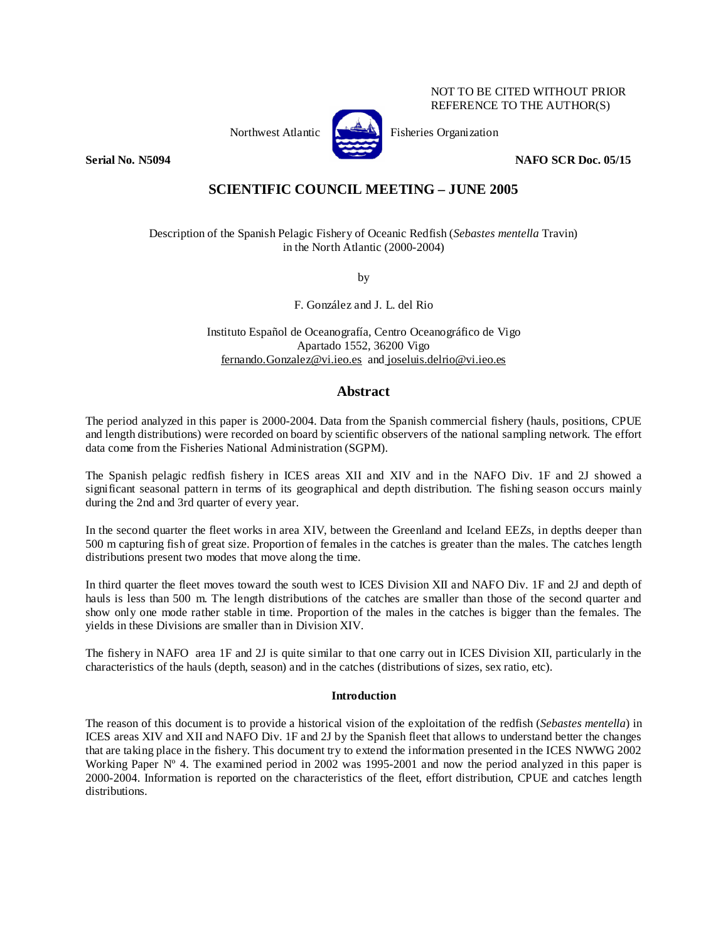## NOT TO BE CITED WITHOUT PRIOR REFERENCE TO THE AUTHOR(S)



Northwest Atlantic **Fisheries** Organization

**Serial No. N5094 NAFO SCR Doc. 05/15** 

# **SCIENTIFIC COUNCIL MEETING – JUNE 2005**

Description of the Spanish Pelagic Fishery of Oceanic Redfish (*Sebastes mentella* Travin) in the North Atlantic (2000-2004)

by

F. González and J. L. del Rio

Instituto Español de Oceanografía, Centro Oceanográfico de Vigo Apartado 1552, 36200 Vigo fernando.Gonzalez@vi.ieo.es and joseluis.delrio@vi.ieo.es

## **Abstract**

The period analyzed in this paper is 2000-2004. Data from the Spanish commercial fishery (hauls, positions, CPUE and length distributions) were recorded on board by scientific observers of the national sampling network. The effort data come from the Fisheries National Administration (SGPM).

The Spanish pelagic redfish fishery in ICES areas XII and XIV and in the NAFO Div. 1F and 2J showed a significant seasonal pattern in terms of its geographical and depth distribution. The fishing season occurs mainly during the 2nd and 3rd quarter of every year.

In the second quarter the fleet works in area XIV, between the Greenland and Iceland EEZs, in depths deeper than 500 m capturing fish of great size. Proportion of females in the catches is greater than the males. The catches length distributions present two modes that move along the time.

In third quarter the fleet moves toward the south west to ICES Division XII and NAFO Div. 1F and 2J and depth of hauls is less than 500 m. The length distributions of the catches are smaller than those of the second quarter and show only one mode rather stable in time. Proportion of the males in the catches is bigger than the females. The yields in these Divisions are smaller than in Division XIV.

The fishery in NAFO area 1F and 2J is quite similar to that one carry out in ICES Division XII, particularly in the characteristics of the hauls (depth, season) and in the catches (distributions of sizes, sex ratio, etc).

### **Introduction**

The reason of this document is to provide a historical vision of the exploitation of the redfish (*Sebastes mentella*) in ICES areas XIV and XII and NAFO Div. 1F and 2J by the Spanish fleet that allows to understand better the changes that are taking place in the fishery. This document try to extend the information presented in the ICES NWWG 2002 Working Paper N° 4. The examined period in 2002 was 1995-2001 and now the period analyzed in this paper is 2000-2004. Information is reported on the characteristics of the fleet, effort distribution, CPUE and catches length distributions.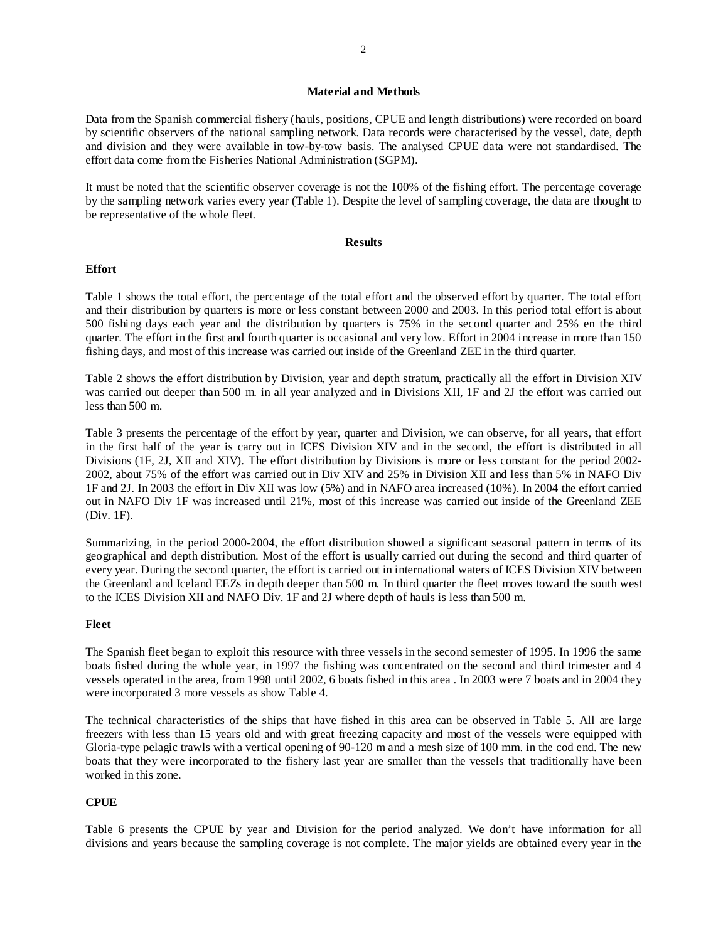### **Material and Methods**

Data from the Spanish commercial fishery (hauls, positions, CPUE and length distributions) were recorded on board by scientific observers of the national sampling network. Data records were characterised by the vessel, date, depth and division and they were available in tow-by-tow basis. The analysed CPUE data were not standardised. The effort data come from the Fisheries National Administration (SGPM).

It must be noted that the scientific observer coverage is not the 100% of the fishing effort. The percentage coverage by the sampling network varies every year (Table 1). Despite the level of sampling coverage, the data are thought to be representative of the whole fleet.

#### **Results**

#### **Effort**

Table 1 shows the total effort, the percentage of the total effort and the observed effort by quarter. The total effort and their distribution by quarters is more or less constant between 2000 and 2003. In this period total effort is about 500 fishing days each year and the distribution by quarters is 75% in the second quarter and 25% en the third quarter. The effort in the first and fourth quarter is occasional and very low. Effort in 2004 increase in more than 150 fishing days, and most of this increase was carried out inside of the Greenland ZEE in the third quarter.

Table 2 shows the effort distribution by Division, year and depth stratum, practically all the effort in Division XIV was carried out deeper than 500 m. in all year analyzed and in Divisions XII, 1F and 2J the effort was carried out less than 500 m.

Table 3 presents the percentage of the effort by year, quarter and Division, we can observe, for all years, that effort in the first half of the year is carry out in ICES Division XIV and in the second, the effort is distributed in all Divisions (1F, 2J, XII and XIV). The effort distribution by Divisions is more or less constant for the period 2002- 2002, about 75% of the effort was carried out in Div XIV and 25% in Division XII and less than 5% in NAFO Div 1F and 2J. In 2003 the effort in Div XII was low (5%) and in NAFO area increased (10%). In 2004 the effort carried out in NAFO Div 1F was increased until 21%, most of this increase was carried out inside of the Greenland ZEE (Div. 1F).

Summarizing, in the period 2000-2004, the effort distribution showed a significant seasonal pattern in terms of its geographical and depth distribution. Most of the effort is usually carried out during the second and third quarter of every year. During the second quarter, the effort is carried out in international waters of ICES Division XIV between the Greenland and Iceland EEZs in depth deeper than 500 m. In third quarter the fleet moves toward the south west to the ICES Division XII and NAFO Div. 1F and 2J where depth of hauls is less than 500 m.

### **Fleet**

The Spanish fleet began to exploit this resource with three vessels in the second semester of 1995. In 1996 the same boats fished during the whole year, in 1997 the fishing was concentrated on the second and third trimester and 4 vessels operated in the area, from 1998 until 2002, 6 boats fished in this area . In 2003 were 7 boats and in 2004 they were incorporated 3 more vessels as show Table 4.

The technical characteristics of the ships that have fished in this area can be observed in Table 5. All are large freezers with less than 15 years old and with great freezing capacity and most of the vessels were equipped with Gloria-type pelagic trawls with a vertical opening of 90-120 m and a mesh size of 100 mm. in the cod end. The new boats that they were incorporated to the fishery last year are smaller than the vessels that traditionally have been worked in this zone.

### **CPUE**

Table 6 presents the CPUE by year and Division for the period analyzed. We don't have information for all divisions and years because the sampling coverage is not complete. The major yields are obtained every year in the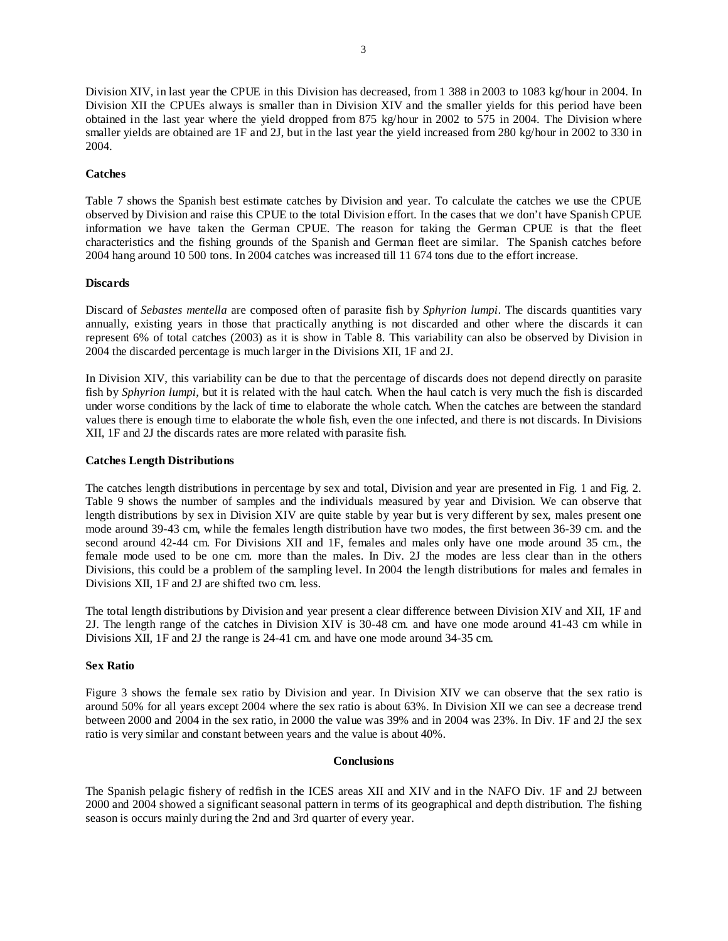Division XIV, in last year the CPUE in this Division has decreased, from 1 388 in 2003 to 1083 kg/hour in 2004. In Division XII the CPUEs always is smaller than in Division XIV and the smaller yields for this period have been obtained in the last year where the yield dropped from 875 kg/hour in 2002 to 575 in 2004. The Division where smaller yields are obtained are 1F and 2J, but in the last year the yield increased from 280 kg/hour in 2002 to 330 in 2004.

## **Catches**

Table 7 shows the Spanish best estimate catches by Division and year. To calculate the catches we use the CPUE observed by Division and raise this CPUE to the total Division effort. In the cases that we don't have Spanish CPUE information we have taken the German CPUE. The reason for taking the German CPUE is that the fleet characteristics and the fishing grounds of the Spanish and German fleet are similar. The Spanish catches before 2004 hang around 10 500 tons. In 2004 catches was increased till 11 674 tons due to the effort increase.

## **Discards**

Discard of *Sebastes mentella* are composed often of parasite fish by *Sphyrion lumpi*. The discards quantities vary annually, existing years in those that practically anything is not discarded and other where the discards it can represent 6% of total catches (2003) as it is show in Table 8. This variability can also be observed by Division in 2004 the discarded percentage is much larger in the Divisions XII, 1F and 2J.

In Division XIV, this variability can be due to that the percentage of discards does not depend directly on parasite fish by *Sphyrion lumpi*, but it is related with the haul catch. When the haul catch is very much the fish is discarded under worse conditions by the lack of time to elaborate the whole catch. When the catches are between the standard values there is enough time to elaborate the whole fish, even the one infected, and there is not discards. In Divisions XII, 1F and 2J the discards rates are more related with parasite fish.

## **Catches Length Distributions**

The catches length distributions in percentage by sex and total, Division and year are presented in Fig. 1 and Fig. 2. Table 9 shows the number of samples and the individuals measured by year and Division. We can observe that length distributions by sex in Division XIV are quite stable by year but is very different by sex, males present one mode around 39-43 cm, while the females length distribution have two modes, the first between 36-39 cm. and the second around 42-44 cm. For Divisions XII and 1F, females and males only have one mode around 35 cm., the female mode used to be one cm. more than the males. In Div. 2J the modes are less clear than in the others Divisions, this could be a problem of the sampling level. In 2004 the length distributions for males and females in Divisions XII, 1F and 2J are shifted two cm. less.

The total length distributions by Division and year present a clear difference between Division XIV and XII, 1F and 2J. The length range of the catches in Division XIV is 30-48 cm. and have one mode around 41-43 cm while in Divisions XII, 1F and 2J the range is 24-41 cm. and have one mode around 34-35 cm.

## **Sex Ratio**

Figure 3 shows the female sex ratio by Division and year. In Division XIV we can observe that the sex ratio is around 50% for all years except 2004 where the sex ratio is about 63%. In Division XII we can see a decrease trend between 2000 and 2004 in the sex ratio, in 2000 the value was 39% and in 2004 was 23%. In Div. 1F and 2J the sex ratio is very similar and constant between years and the value is about 40%.

### **Conclusions**

The Spanish pelagic fishery of redfish in the ICES areas XII and XIV and in the NAFO Div. 1F and 2J between 2000 and 2004 showed a significant seasonal pattern in terms of its geographical and depth distribution. The fishing season is occurs mainly during the 2nd and 3rd quarter of every year.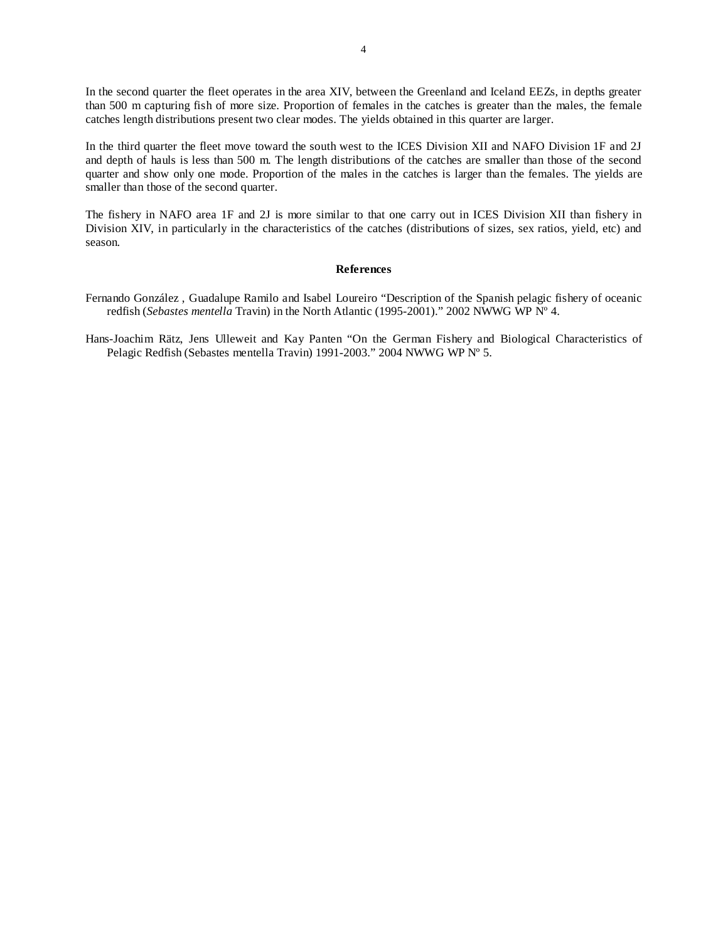In the second quarter the fleet operates in the area XIV, between the Greenland and Iceland EEZs, in depths greater than 500 m capturing fish of more size. Proportion of females in the catches is greater than the males, the female catches length distributions present two clear modes. The yields obtained in this quarter are larger.

In the third quarter the fleet move toward the south west to the ICES Division XII and NAFO Division 1F and 2J and depth of hauls is less than 500 m. The length distributions of the catches are smaller than those of the second quarter and show only one mode. Proportion of the males in the catches is larger than the females. The yields are smaller than those of the second quarter.

The fishery in NAFO area 1F and 2J is more similar to that one carry out in ICES Division XII than fishery in Division XIV, in particularly in the characteristics of the catches (distributions of sizes, sex ratios, yield, etc) and season.

#### **References**

Fernando González , Guadalupe Ramilo and Isabel Loureiro "Description of the Spanish pelagic fishery of oceanic redfish (*Sebastes mentella* Travin) in the North Atlantic (1995-2001)." 2002 NWWG WP Nº 4.

Hans-Joachim Rätz, Jens Ulleweit and Kay Panten "On the German Fishery and Biological Characteristics of Pelagic Redfish (Sebastes mentella Travin) 1991-2003." 2004 NWWG WP Nº 5.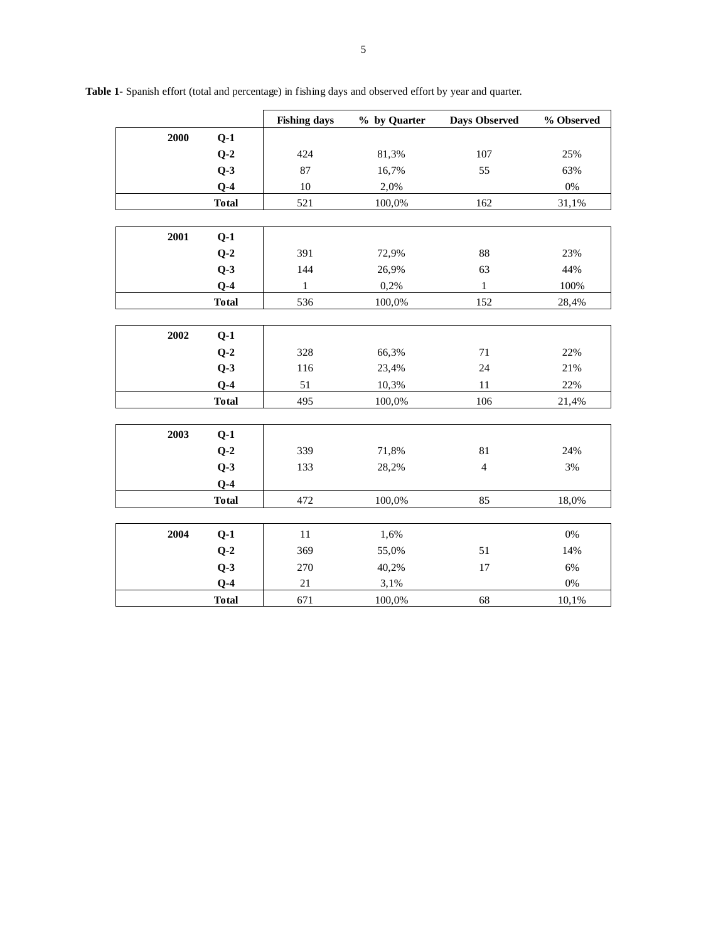|      |              | <b>Fishing days</b> | % by Quarter | <b>Days Observed</b> | % Observed |
|------|--------------|---------------------|--------------|----------------------|------------|
| 2000 | $Q-1$        |                     |              |                      |            |
|      | $Q-2$        | 424                 | 81,3%        | 107                  | 25%        |
|      | $Q-3$        | 87                  | 16,7%        | 55                   | 63%        |
|      | $Q-4$        | 10                  | 2,0%         |                      | $0\%$      |
|      | <b>Total</b> | 521                 | 100,0%       | 162                  | 31,1%      |
|      |              |                     |              |                      |            |
| 2001 | $Q-1$        |                     |              |                      |            |
|      | $Q-2$        | 391                 | 72,9%        | 88                   | 23%        |
|      | $Q-3$        | 144                 | 26,9%        | 63                   | 44%        |
|      | $Q-4$        | $\mathbf{1}$        | 0,2%         | $\mathbf{1}$         | 100%       |
|      | <b>Total</b> | 536                 | 100,0%       | 152                  | 28,4%      |
|      |              |                     |              |                      |            |
| 2002 | $Q-1$        |                     |              |                      |            |
|      | $Q-2$        | 328                 | 66,3%        | $71\,$               | 22%        |
|      | $Q-3$        | 116                 | 23,4%        | 24                   | 21%        |
|      | $Q-4$        | 51                  | 10,3%        | 11                   | 22%        |
|      | <b>Total</b> | 495                 | 100,0%       | 106                  | 21,4%      |
|      |              |                     |              |                      |            |
| 2003 | $Q-1$        |                     |              |                      |            |
|      | $Q-2$        | 339                 | 71,8%        | 81                   | 24%        |
|      | $Q-3$        | 133                 | 28,2%        | $\overline{4}$       | 3%         |
|      | $Q-4$        |                     |              |                      |            |
|      | <b>Total</b> | 472                 | 100,0%       | 85                   | 18,0%      |
|      |              |                     |              |                      |            |
| 2004 | $Q-1$        | $11\,$              | 1,6%         |                      | $0\%$      |
|      | $Q-2$        | 369                 | 55,0%        | 51                   | 14%        |
|      | $Q-3$        | 270                 | 40,2%        | $17\,$               | 6%         |
|      | $Q-4$        | $21\,$              | 3,1%         |                      | $0\%$      |
|      | <b>Total</b> | 671                 | 100,0%       | 68                   | 10,1%      |

**Table 1**- Spanish effort (total and percentage) in fishing days and observed effort by year and quarter.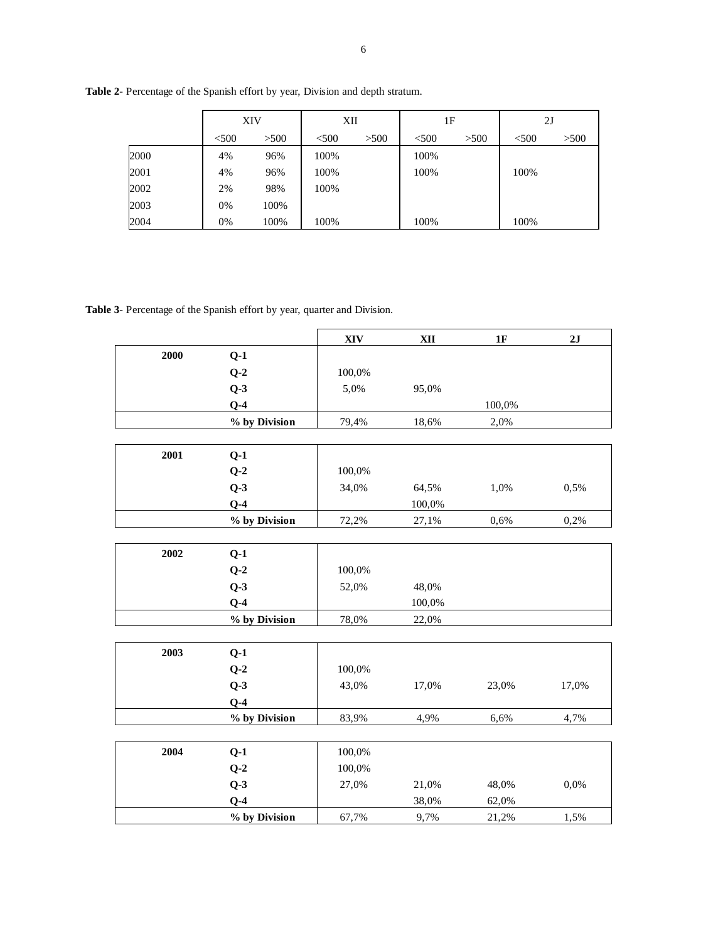|      | XIV     |      | XII   |      | 1F      |      | 2J      |      |
|------|---------|------|-------|------|---------|------|---------|------|
|      | $<$ 500 | >500 | $500$ | >500 | $<$ 500 | >500 | $<$ 500 | >500 |
| 2000 | 4%      | 96%  | 100%  |      | 100%    |      |         |      |
| 2001 | 4%      | 96%  | 100%  |      | 100%    |      | 100%    |      |
| 2002 | 2%      | 98%  | 100%  |      |         |      |         |      |
| 2003 | 0%      | 100% |       |      |         |      |         |      |
| 2004 | 0%      | 100% | 100%  |      | 100%    |      | 100%    |      |

**Table 2**- Percentage of the Spanish effort by year, Division and depth stratum.

**Table 3**- Percentage of the Spanish effort by year, quarter and Division.

|      |               | XIV    | XII    | 1F     | 2J    |
|------|---------------|--------|--------|--------|-------|
| 2000 | $Q-1$         |        |        |        |       |
|      | $Q-2$         | 100,0% |        |        |       |
|      | $Q-3$         | 5,0%   | 95,0%  |        |       |
|      | $Q-4$         |        |        | 100,0% |       |
|      | % by Division | 79,4%  | 18,6%  | 2,0%   |       |
|      |               |        |        |        |       |
| 2001 | $Q-1$         |        |        |        |       |
|      | $Q-2$         | 100,0% |        |        |       |
|      | $Q-3$         | 34,0%  | 64,5%  | 1,0%   | 0,5%  |
|      | $Q-4$         |        | 100,0% |        |       |
|      | % by Division | 72,2%  | 27,1%  | 0,6%   | 0,2%  |
|      |               |        |        |        |       |
| 2002 | $Q-1$         |        |        |        |       |
|      | $Q-2$         | 100,0% |        |        |       |
|      | $Q-3$         | 52,0%  | 48,0%  |        |       |
|      | $Q-4$         |        | 100,0% |        |       |
|      | % by Division | 78,0%  | 22,0%  |        |       |
|      |               |        |        |        |       |
| 2003 | $Q-1$         |        |        |        |       |
|      | $Q-2$         | 100,0% |        |        |       |
|      | $Q-3$         | 43,0%  | 17,0%  | 23,0%  | 17,0% |
|      | $Q-4$         |        |        |        |       |
|      | % by Division | 83,9%  | 4,9%   | 6,6%   | 4,7%  |
|      |               |        |        |        |       |
| 2004 | $Q-1$         | 100,0% |        |        |       |
|      | $Q-2$         | 100,0% |        |        |       |
|      | $Q-3$         | 27,0%  | 21,0%  | 48,0%  | 0,0%  |
|      | $Q-4$         |        | 38,0%  | 62,0%  |       |
|      | % by Division | 67,7%  | 9,7%   | 21,2%  | 1,5%  |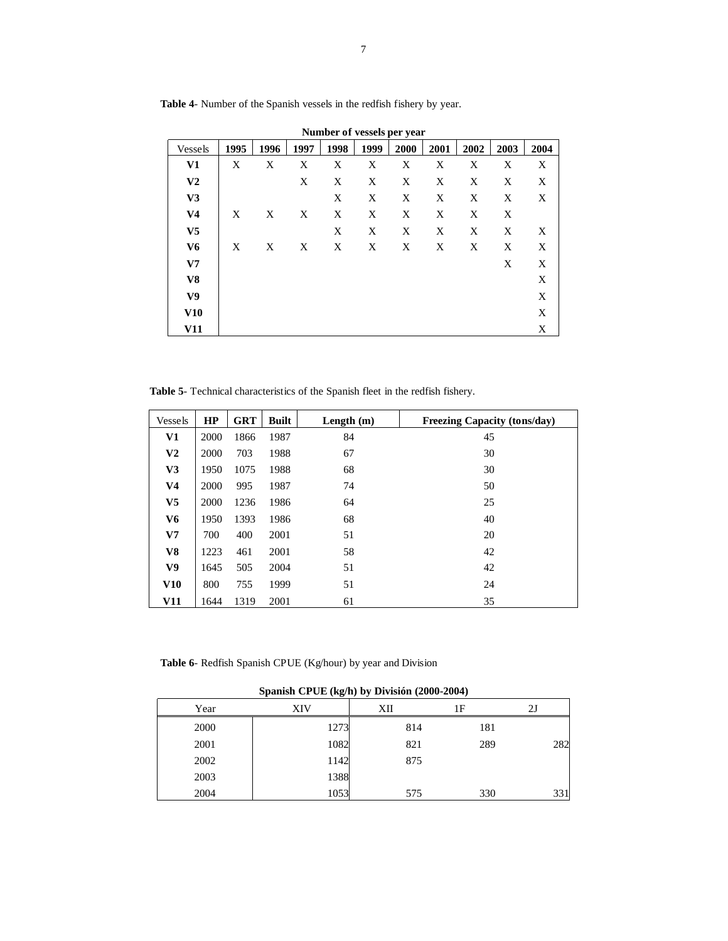| Number of vessels per year |      |      |      |      |      |      |      |      |      |      |
|----------------------------|------|------|------|------|------|------|------|------|------|------|
| Vessels                    | 1995 | 1996 | 1997 | 1998 | 1999 | 2000 | 2001 | 2002 | 2003 | 2004 |
| V1                         | X    | X    | X    | X    | X    | X    | X    | X    | X    | X    |
| V <sub>2</sub>             |      |      | X    | X    | X    | X    | X    | X    | X    | X    |
| V <sub>3</sub>             |      |      |      | X    | X    | X    | X    | X    | X    | X    |
| V <sub>4</sub>             | X    | X    | X    | X    | X    | X    | X    | X    | X    |      |
| V <sub>5</sub>             |      |      |      | X    | X    | X    | X    | X    | X    | X    |
| V6                         | X    | X    | X    | X    | X    | X    | X    | X    | X    | X    |
| V <sub>7</sub>             |      |      |      |      |      |      |      |      | X    | X    |
| V8                         |      |      |      |      |      |      |      |      |      | X    |
| V9                         |      |      |      |      |      |      |      |      |      | X    |
| <b>V10</b>                 |      |      |      |      |      |      |      |      |      | X    |
| <b>V11</b>                 |      |      |      |      |      |      |      |      |      | X    |

**Table 4**- Number of the Spanish vessels in the redfish fishery by year.

**Table 5**- Technical characteristics of the Spanish fleet in the redfish fishery.

| Vessels        | HP   | <b>GRT</b> | <b>Built</b> | Length $(m)$ | <b>Freezing Capacity (tons/day)</b> |
|----------------|------|------------|--------------|--------------|-------------------------------------|
| V1             | 2000 | 1866       | 1987         | 84           | 45                                  |
| V <sub>2</sub> | 2000 | 703        | 1988         | 67           | 30                                  |
| V3             | 1950 | 1075       | 1988         | 68           | 30                                  |
| V4             | 2000 | 995        | 1987         | 74           | 50                                  |
| V <sub>5</sub> | 2000 | 1236       | 1986         | 64           | 25                                  |
| V6             | 1950 | 1393       | 1986         | 68           | 40                                  |
| V7             | 700  | 400        | 2001         | 51           | 20                                  |
| V8             | 1223 | 461        | 2001         | 58           | 42                                  |
| V9             | 1645 | 505        | 2004         | 51           | 42                                  |
| <b>V10</b>     | 800  | 755        | 1999         | 51           | 24                                  |
| <b>V11</b>     | 1644 | 1319       | 2001         | 61           | 35                                  |

**Table 6**- Redfish Spanish CPUE (Kg/hour) by year and Division

| Spanish CPUE (kg/h) by División (2000-2004) |
|---------------------------------------------|
|---------------------------------------------|

|      | $\overline{\phantom{0}}$<br>$\sim$ | . . |     |     |
|------|------------------------------------|-----|-----|-----|
| Year | XIV                                | XII | 1F  | 2J  |
| 2000 | 1273                               | 814 | 181 |     |
| 2001 | 1082                               | 821 | 289 | 282 |
| 2002 | 1142                               | 875 |     |     |
| 2003 | 1388                               |     |     |     |
| 2004 | 1053                               | 575 | 330 | 331 |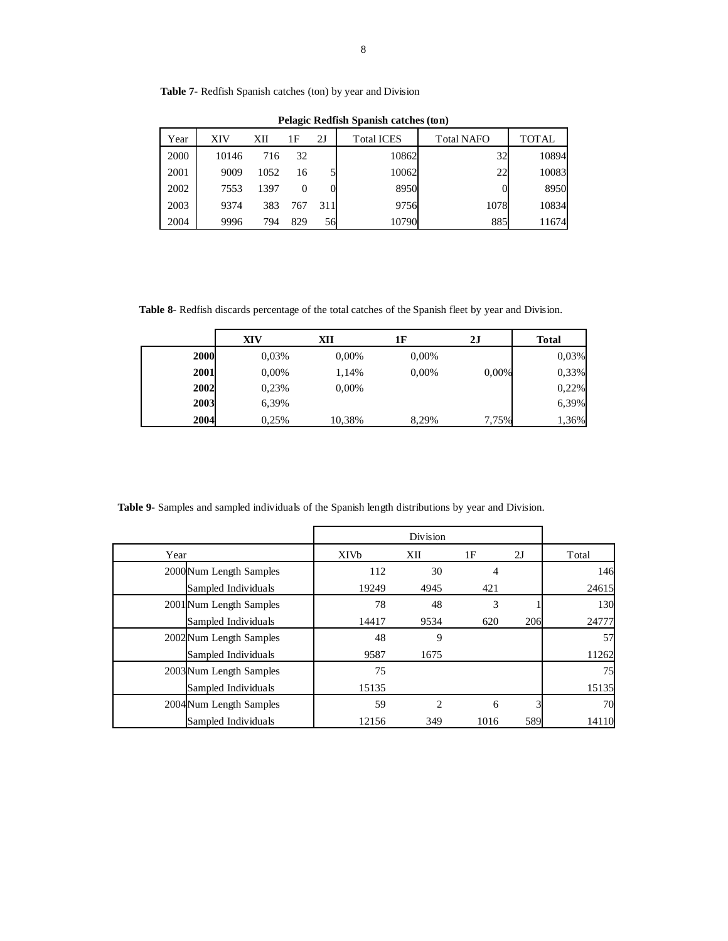## **Table 7**- Redfish Spanish catches (ton) by year and Division

|      | I chight incumbin optimism cutenes (tom) |      |     |      |                   |                   |       |  |  |  |  |
|------|------------------------------------------|------|-----|------|-------------------|-------------------|-------|--|--|--|--|
| Year | XIV                                      | XН   | 1F  | 2J   | <b>Total ICES</b> | <b>Total NAFO</b> | TOTAL |  |  |  |  |
| 2000 | 10146                                    | 716  | 32  |      | 10862             | 32                | 10894 |  |  |  |  |
| 2001 | 9009                                     | 1052 | 16  |      | 10062             | 22                | 10083 |  |  |  |  |
| 2002 | 7553                                     | 1397 | 0   |      | 8950              |                   | 8950  |  |  |  |  |
| 2003 | 9374                                     | 383  | 767 | 31 1 | 9756              | 1078              | 10834 |  |  |  |  |
| 2004 | 9996                                     | 794  | 829 | 56   | 10790             | 885               | 11674 |  |  |  |  |

**Pelagic Redfish Spanish catches (ton)** 

**Table 8**- Redfish discards percentage of the total catches of the Spanish fleet by year and Division.

|      | XIV   | XII    | 1F    | 2J    | <b>Total</b> |
|------|-------|--------|-------|-------|--------------|
| 2000 | 0,03% | 0,00%  | 0,00% |       | 0,03%        |
| 2001 | 0,00% | 1,14%  | 0,00% | 0,00% | 0,33%        |
| 2002 | 0,23% | 0,00%  |       |       | 0,22%        |
| 2003 | 6,39% |        |       |       | 6,39%        |
| 2004 | 0,25% | 10,38% | 8,29% | 7,75% | 1,36%        |

**Table 9**- Samples and sampled individuals of the Spanish length distributions by year and Division.

| Year                    | <b>XIVb</b> | XII            | 1F   | 2J  | Total |
|-------------------------|-------------|----------------|------|-----|-------|
| 2000 Num Length Samples | 112         | 30             | 4    |     | 146   |
| Sampled Individuals     | 19249       | 4945           | 421  |     | 24615 |
| 2001 Num Length Samples | 78          | 48             | 3    |     | 130   |
| Sampled Individuals     | 14417       | 9534           | 620  | 206 | 24777 |
| 2002 Num Length Samples | 48          | 9              |      |     | 57    |
| Sampled Individuals     | 9587        | 1675           |      |     | 11262 |
| 2003 Num Length Samples | 75          |                |      |     | 75    |
| Sampled Individuals     | 15135       |                |      |     | 15135 |
| 2004 Num Length Samples | 59          | $\overline{c}$ | 6    |     | 70    |
| Sampled Individuals     | 12156       | 349            | 1016 | 589 | 14110 |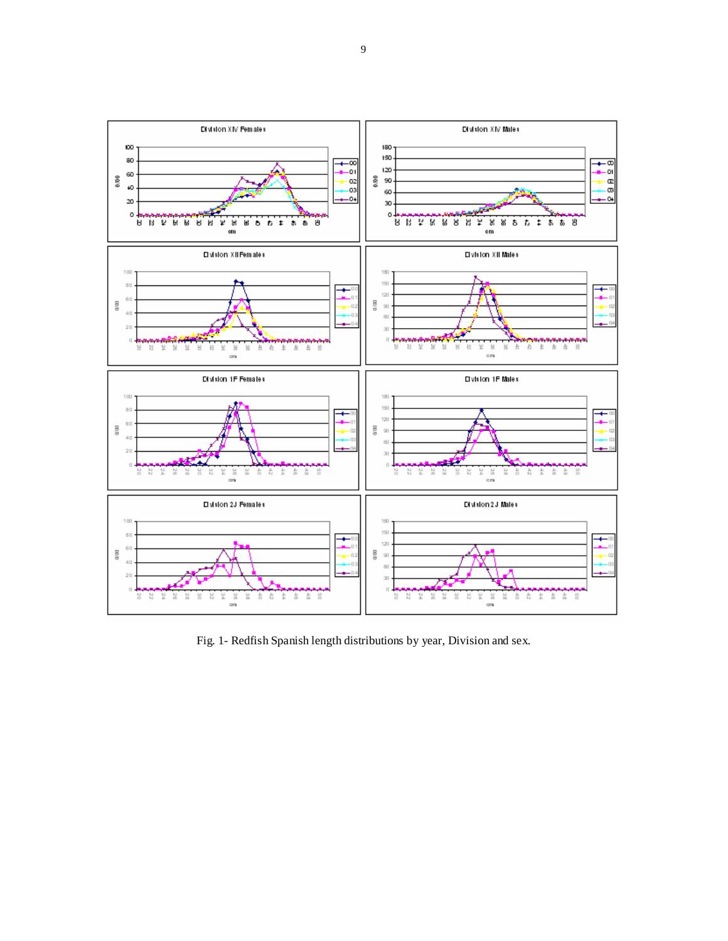

Fig. 1- Redfish Spanish length distributions by year, Division and sex.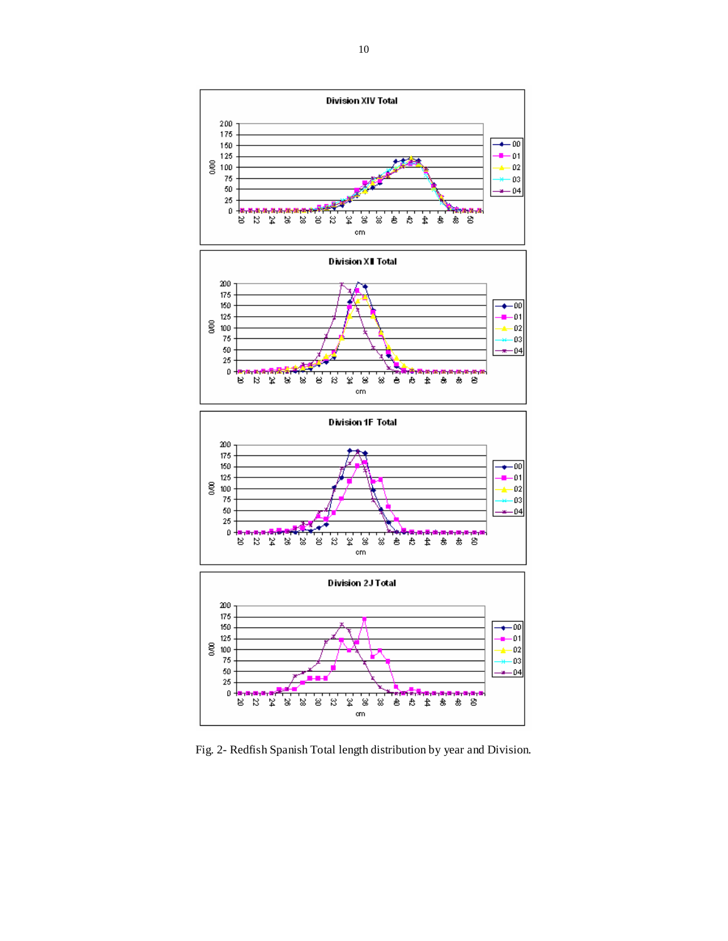

Fig. 2- Redfish Spanish Total length distribution by year and Division.